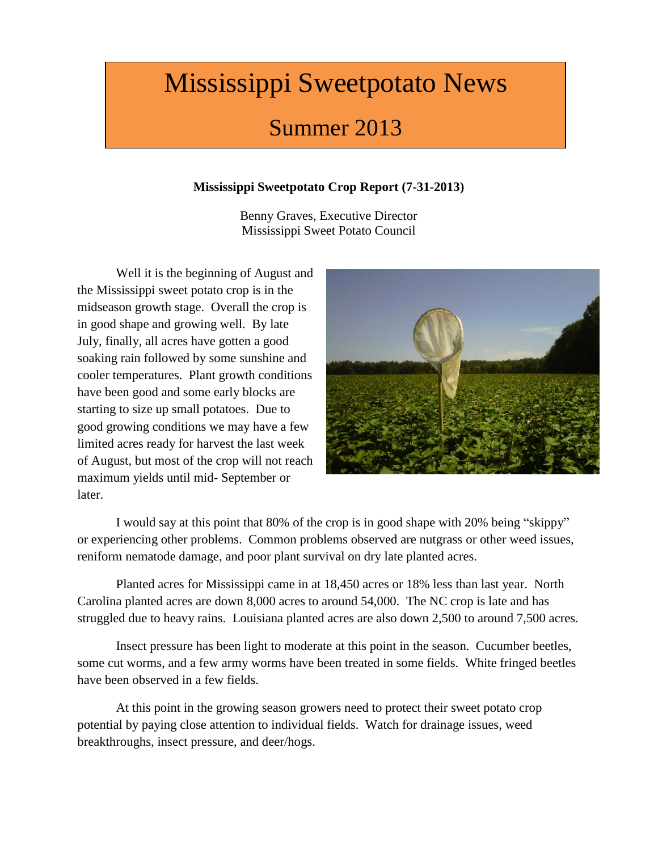# Mississippi Sweetpotato News

# Summer 2013

## **Mississippi Sweetpotato Crop Report (7-31-2013)**

Benny Graves, Executive Director Mississippi Sweet Potato Council

Well it is the beginning of August and the Mississippi sweet potato crop is in the midseason growth stage. Overall the crop is in good shape and growing well. By late July, finally, all acres have gotten a good soaking rain followed by some sunshine and cooler temperatures. Plant growth conditions have been good and some early blocks are starting to size up small potatoes. Due to good growing conditions we may have a few limited acres ready for harvest the last week of August, but most of the crop will not reach maximum yields until mid- September or later.



I would say at this point that 80% of the crop is in good shape with 20% being "skippy" or experiencing other problems. Common problems observed are nutgrass or other weed issues, reniform nematode damage, and poor plant survival on dry late planted acres.

Planted acres for Mississippi came in at 18,450 acres or 18% less than last year. North Carolina planted acres are down 8,000 acres to around 54,000. The NC crop is late and has struggled due to heavy rains. Louisiana planted acres are also down 2,500 to around 7,500 acres.

Insect pressure has been light to moderate at this point in the season. Cucumber beetles, some cut worms, and a few army worms have been treated in some fields. White fringed beetles have been observed in a few fields.

At this point in the growing season growers need to protect their sweet potato crop potential by paying close attention to individual fields. Watch for drainage issues, weed breakthroughs, insect pressure, and deer/hogs.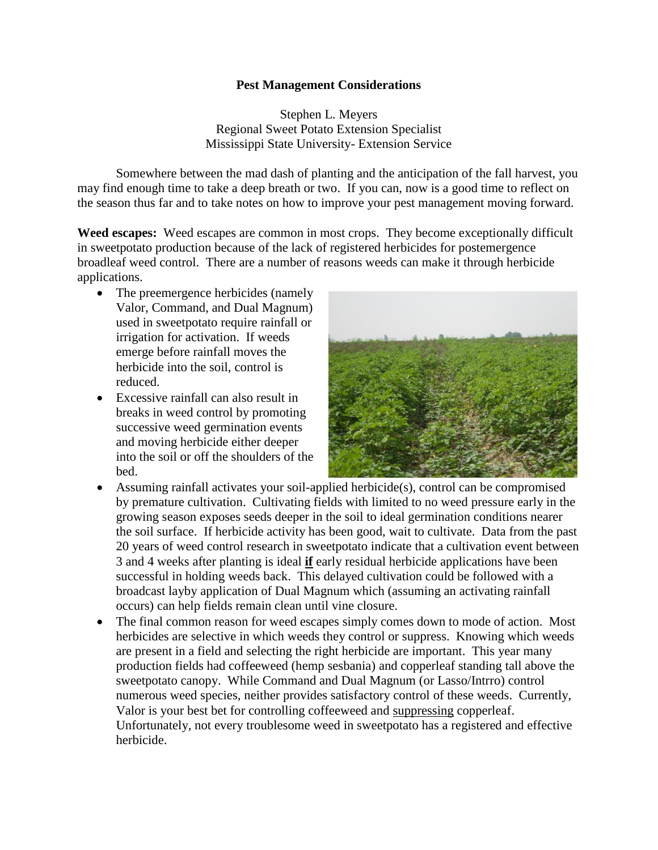#### **Pest Management Considerations**

Stephen L. Meyers Regional Sweet Potato Extension Specialist Mississippi State University- Extension Service

Somewhere between the mad dash of planting and the anticipation of the fall harvest, you may find enough time to take a deep breath or two. If you can, now is a good time to reflect on the season thus far and to take notes on how to improve your pest management moving forward.

**Weed escapes:** Weed escapes are common in most crops. They become exceptionally difficult in sweetpotato production because of the lack of registered herbicides for postemergence broadleaf weed control. There are a number of reasons weeds can make it through herbicide applications.

- The preemergence herbicides (namely Valor, Command, and Dual Magnum) used in sweetpotato require rainfall or irrigation for activation. If weeds emerge before rainfall moves the herbicide into the soil, control is reduced.
- Excessive rainfall can also result in breaks in weed control by promoting successive weed germination events and moving herbicide either deeper into the soil or off the shoulders of the bed.



- Assuming rainfall activates your soil-applied herbicide(s), control can be compromised by premature cultivation. Cultivating fields with limited to no weed pressure early in the growing season exposes seeds deeper in the soil to ideal germination conditions nearer the soil surface. If herbicide activity has been good, wait to cultivate. Data from the past 20 years of weed control research in sweetpotato indicate that a cultivation event between 3 and 4 weeks after planting is ideal **if** early residual herbicide applications have been successful in holding weeds back. This delayed cultivation could be followed with a broadcast layby application of Dual Magnum which (assuming an activating rainfall occurs) can help fields remain clean until vine closure.
- The final common reason for weed escapes simply comes down to mode of action. Most herbicides are selective in which weeds they control or suppress. Knowing which weeds are present in a field and selecting the right herbicide are important. This year many production fields had coffeeweed (hemp sesbania) and copperleaf standing tall above the sweetpotato canopy. While Command and Dual Magnum (or Lasso/Intrro) control numerous weed species, neither provides satisfactory control of these weeds. Currently, Valor is your best bet for controlling coffeeweed and suppressing copperleaf. Unfortunately, not every troublesome weed in sweetpotato has a registered and effective herbicide.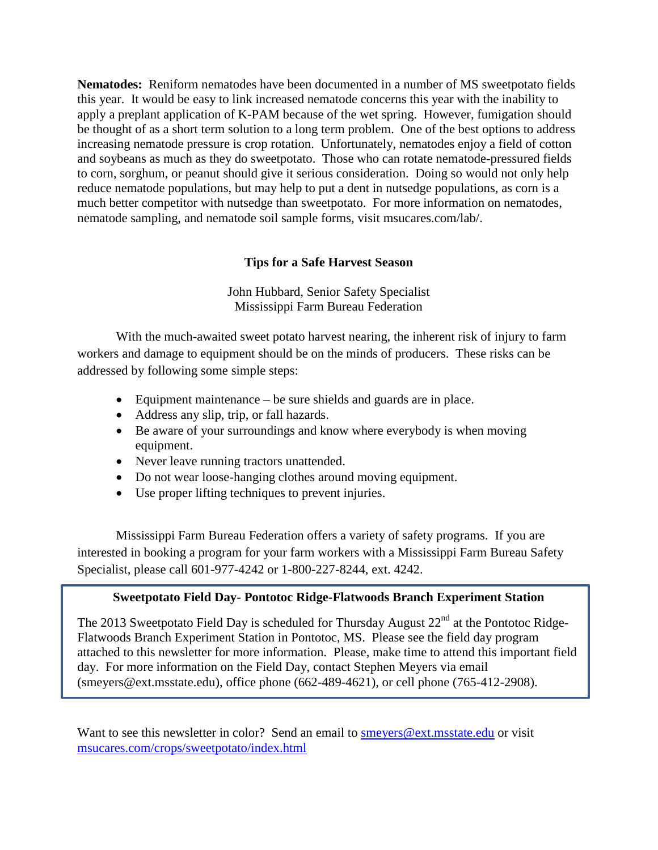**Nematodes:** Reniform nematodes have been documented in a number of MS sweetpotato fields this year. It would be easy to link increased nematode concerns this year with the inability to apply a preplant application of K-PAM because of the wet spring. However, fumigation should be thought of as a short term solution to a long term problem. One of the best options to address increasing nematode pressure is crop rotation. Unfortunately, nematodes enjoy a field of cotton and soybeans as much as they do sweetpotato. Those who can rotate nematode-pressured fields to corn, sorghum, or peanut should give it serious consideration. Doing so would not only help reduce nematode populations, but may help to put a dent in nutsedge populations, as corn is a much better competitor with nutsedge than sweetpotato. For more information on nematodes, nematode sampling, and nematode soil sample forms, visit msucares.com/lab/.

#### **Tips for a Safe Harvest Season**

John Hubbard, Senior Safety Specialist Mississippi Farm Bureau Federation

With the much-awaited sweet potato harvest nearing, the inherent risk of injury to farm workers and damage to equipment should be on the minds of producers. These risks can be addressed by following some simple steps:

- Equipment maintenance be sure shields and guards are in place.
- Address any slip, trip, or fall hazards.
- Be aware of your surroundings and know where everybody is when moving equipment.
- Never leave running tractors unattended.
- Do not wear loose-hanging clothes around moving equipment.
- Use proper lifting techniques to prevent injuries.

Mississippi Farm Bureau Federation offers a variety of safety programs. If you are interested in booking a program for your farm workers with a Mississippi Farm Bureau Safety Specialist, please call 601-977-4242 or 1-800-227-8244, ext. 4242.

#### **Sweetpotato Field Day- Pontotoc Ridge-Flatwoods Branch Experiment Station**

The 2013 Sweetpotato Field Day is scheduled for Thursday August  $22<sup>nd</sup>$  at the Pontotoc Ridge-Flatwoods Branch Experiment Station in Pontotoc, MS. Please see the field day program attached to this newsletter for more information. Please, make time to attend this important field day. For more information on the Field Day, contact Stephen Meyers via email [\(smeyers@ext.msstate.edu\)](mailto:smeyers@ext.msstate.edu), office phone (662-489-4621), or cell phone (765-412-2908).

Want to see this newsletter in color? Send an email to [smeyers@ext.msstate.edu](mailto:smeyers@ext.msstate.edu) or visit [msucares.com/crops/sweetpotato/index.html](http://msucares.com/crops/sweetpotato/index.html)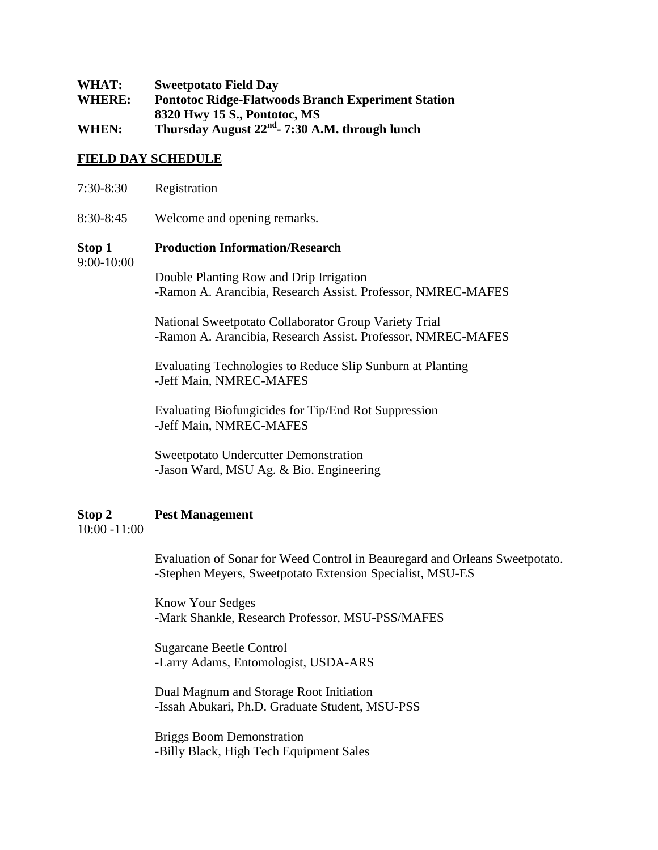| WHAT:         | <b>Sweetpotato Field Day</b>                               |
|---------------|------------------------------------------------------------|
| <b>WHERE:</b> | <b>Pontotoc Ridge-Flatwoods Branch Experiment Station</b>  |
|               | 8320 Hwy 15 S., Pontotoc, MS                               |
| WHEN:         | Thursday August 22 <sup>nd</sup> - 7:30 A.M. through lunch |

#### **FIELD DAY SCHEDULE**

| 7:30-8:30            | Registration                                                                                                          |
|----------------------|-----------------------------------------------------------------------------------------------------------------------|
| 8:30-8:45            | Welcome and opening remarks.                                                                                          |
| Stop 1<br>9:00-10:00 | <b>Production Information/Research</b>                                                                                |
|                      | Double Planting Row and Drip Irrigation<br>-Ramon A. Arancibia, Research Assist. Professor, NMREC-MAFES               |
|                      | National Sweetpotato Collaborator Group Variety Trial<br>-Ramon A. Arancibia, Research Assist. Professor, NMREC-MAFES |

Evaluating Technologies to Reduce Slip Sunburn at Planting -Jeff Main, NMREC-MAFES

Evaluating Biofungicides for Tip/End Rot Suppression -Jeff Main, NMREC-MAFES

Sweetpotato Undercutter Demonstration -Jason Ward, MSU Ag. & Bio. Engineering

#### **Stop 2 Pest Management**

10:00 -11:00

Evaluation of Sonar for Weed Control in Beauregard and Orleans Sweetpotato. -Stephen Meyers, Sweetpotato Extension Specialist, MSU-ES

Know Your Sedges -Mark Shankle, Research Professor, MSU-PSS/MAFES

Sugarcane Beetle Control -Larry Adams, Entomologist, USDA-ARS

Dual Magnum and Storage Root Initiation -Issah Abukari, Ph.D. Graduate Student, MSU-PSS

Briggs Boom Demonstration -Billy Black, High Tech Equipment Sales